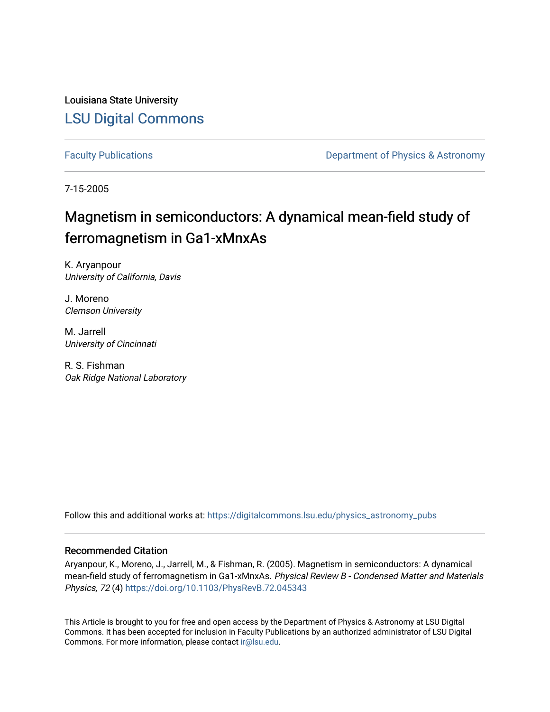Louisiana State University [LSU Digital Commons](https://digitalcommons.lsu.edu/)

[Faculty Publications](https://digitalcommons.lsu.edu/physics_astronomy_pubs) **Exercise 2 and Table 2 and Table 2 and Table 2 and Table 2 and Table 2 and Table 2 and Table 2 and Table 2 and Table 2 and Table 2 and Table 2 and Table 2 and Table 2 and Table 2 and Table 2 and Table** 

7-15-2005

## Magnetism in semiconductors: A dynamical mean-field study of ferromagnetism in Ga1-xMnxAs

K. Aryanpour University of California, Davis

J. Moreno Clemson University

M. Jarrell University of Cincinnati

R. S. Fishman Oak Ridge National Laboratory

Follow this and additional works at: [https://digitalcommons.lsu.edu/physics\\_astronomy\\_pubs](https://digitalcommons.lsu.edu/physics_astronomy_pubs?utm_source=digitalcommons.lsu.edu%2Fphysics_astronomy_pubs%2F3630&utm_medium=PDF&utm_campaign=PDFCoverPages) 

## Recommended Citation

Aryanpour, K., Moreno, J., Jarrell, M., & Fishman, R. (2005). Magnetism in semiconductors: A dynamical mean-field study of ferromagnetism in Ga1-xMnxAs. Physical Review B - Condensed Matter and Materials Physics, 72 (4) <https://doi.org/10.1103/PhysRevB.72.045343>

This Article is brought to you for free and open access by the Department of Physics & Astronomy at LSU Digital Commons. It has been accepted for inclusion in Faculty Publications by an authorized administrator of LSU Digital Commons. For more information, please contact [ir@lsu.edu](mailto:ir@lsu.edu).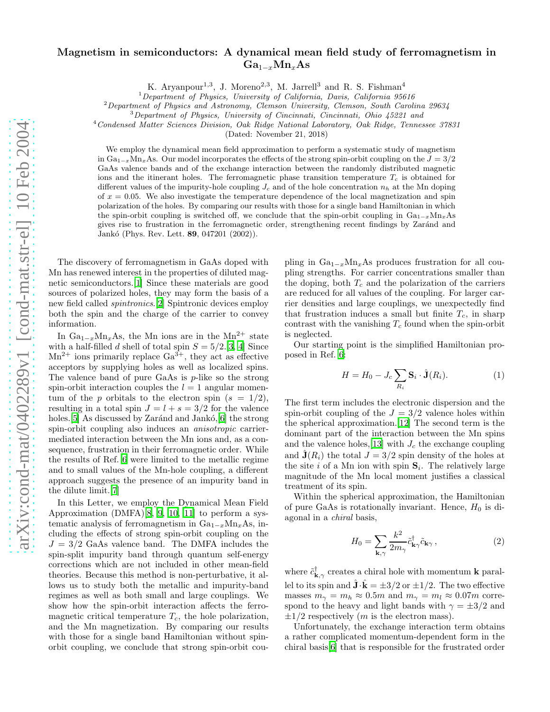## Magnetism in semiconductors: A dynamical mean field study of ferromagnetism in  $Ga_{1-x}Mn_xAs$

K. Aryanpour<sup>1,3</sup>, J. Moreno<sup>2,3</sup>, M. Jarrell<sup>3</sup> and R. S. Fishman<sup>4</sup>

 $1$ Department of Physics, University of California, Davis, California 95616

 $2$ Department of Physics and Astronomy, Clemson University, Clemson, South Carolina 29634

<sup>3</sup>Department of Physics, University of Cincinnati, Cincinnati, Ohio 45221 and

<sup>4</sup>Condensed Matter Sciences Division, Oak Ridge National Laboratory, Oak Ridge, Tennessee 37831

(Dated: November 21, 2018)

We employ the dynamical mean field approximation to perform a systematic study of magnetism in  $Ga_{1-x}Mn_xAs$ . Our model incorporates the effects of the strong spin-orbit coupling on the  $J = 3/2$ GaAs valence bands and of the exchange interaction between the randomly distributed magnetic ions and the itinerant holes. The ferromagnetic phase transition temperature  $T_c$  is obtained for different values of the impurity-hole coupling  $J_c$  and of the hole concentration  $n_h$  at the Mn doping of  $x = 0.05$ . We also investigate the temperature dependence of the local magnetization and spin polarization of the holes. By comparing our results with those for a single band Hamiltonian in which the spin-orbit coupling is switched off, we conclude that the spin-orbit coupling in  $Ga_{1-x}Mn_xAs$ gives rise to frustration in the ferromagnetic order, strengthening recent findings by Zarand and Jankó (Phys. Rev. Lett. **89**, 047201 (2002)).

The discovery of ferromagnetism in GaAs doped with Mn has renewed interest in the properties of diluted magnetic semiconductors.[\[1](#page-4-0)] Since these materials are good sources of polarized holes, they may form the basis of a new field called spintronics.[\[2\]](#page-4-1) Spintronic devices employ both the spin and the charge of the carrier to convey information.

In  $Ga_{1-x}Mn_xAs$ , the Mn ions are in the Mn<sup>2+</sup> state with a half-filled d shell of total spin  $S = 5/2$ .[\[3,](#page-4-2) [4\]](#page-4-3) Since  $Mn^{2+}$  ions primarily replace  $Ga^{3+}$ , they act as effective acceptors by supplying holes as well as localized spins. The valence band of pure GaAs is  $p$ -like so the strong spin-orbit interaction couples the  $l = 1$  angular momentum of the p orbitals to the electron spin  $(s = 1/2)$ , resulting in a total spin  $J = l + s = 3/2$  for the valence holes. [\[5](#page-4-4)] As discussed by Zaránd and Jankó,  $[6]$  $[6]$  the strong spin-orbit coupling also induces an anisotropic carriermediated interaction between the Mn ions and, as a consequence, frustration in their ferromagnetic order. While the results of Ref. [6](#page-4-5) were limited to the metallic regime and to small values of the Mn-hole coupling, a different approach suggests the presence of an impurity band in the dilute limit.[\[7](#page-4-6)]

In this Letter, we employ the Dynamical Mean Field Approximation (DMFA)[\[8,](#page-4-7) [9,](#page-4-8) [10,](#page-4-9) [11](#page-4-10)] to perform a systematic analysis of ferromagnetism in  $Ga_{1-x}Mn_xAs$ , including the effects of strong spin-orbit coupling on the  $J = 3/2$  GaAs valence band. The DMFA includes the spin-split impurity band through quantum self-energy corrections which are not included in other mean-field theories. Because this method is non-perturbative, it allows us to study both the metallic and impurity-band regimes as well as both small and large couplings. We show how the spin-orbit interaction affects the ferromagnetic critical temperature  $T_c$ , the hole polarization, and the Mn magnetization. By comparing our results with those for a single band Hamiltonian without spinorbit coupling, we conclude that strong spin-orbit cou-

pling in  $Ga_{1-x}Mn_xAs$  produces frustration for all coupling strengths. For carrier concentrations smaller than the doping, both  $T_c$  and the polarization of the carriers are reduced for all values of the coupling. For larger carrier densities and large couplings, we unexpectedly find that frustration induces a small but finite  $T_c$ , in sharp contrast with the vanishing  $T_c$  found when the spin-orbit is neglected.

Our starting point is the simplified Hamiltonian proposed in Ref. [6:](#page-4-5)

$$
H = H_0 - J_c \sum_{R_i} \mathbf{S}_i \cdot \hat{\mathbf{J}}(R_i).
$$
 (1)

The first term includes the electronic dispersion and the spin-orbit coupling of the  $J = 3/2$  valence holes within the spherical approximation.[\[12\]](#page-4-11) The second term is the dominant part of the interaction between the Mn spins and the valence holes, [\[13\]](#page-4-12) with  $J_c$  the exchange coupling and  $\mathbf{J}(R_i)$  the total  $J = 3/2$  spin density of the holes at the site i of a Mn ion with spin  $S_i$ . The relatively large magnitude of the Mn local moment justifies a classical treatment of its spin.

Within the spherical approximation, the Hamiltonian of pure GaAs is rotationally invariant. Hence,  $H_0$  is diagonal in a chiral basis,

$$
H_0 = \sum_{\mathbf{k},\gamma} \frac{k^2}{2m_\gamma} \tilde{c}^\dagger_{\mathbf{k}\gamma} \tilde{c}_{\mathbf{k}\gamma} \,, \tag{2}
$$

where  $\tilde{c}_{\mathbf{k},\gamma}^{\dagger}$  creates a chiral hole with momentum **k** parallel to its spin and  $\hat{\mathbf{J}} \cdot \hat{\mathbf{k}} = \pm 3/2$  or  $\pm 1/2$ . The two effective masses  $m_{\gamma} = m_h \approx 0.5m$  and  $m_{\gamma} = m_l \approx 0.07m$  correspond to the heavy and light bands with  $\gamma = \pm 3/2$  and  $\pm 1/2$  respectively (*m* is the electron mass).

Unfortunately, the exchange interaction term obtains a rather complicated momentum-dependent form in the chiral basis[\[6](#page-4-5)] that is responsible for the frustrated order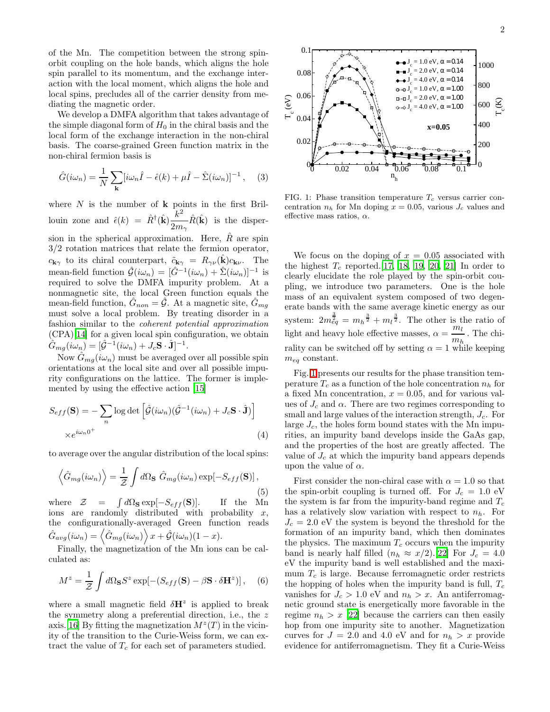of the Mn. The competition between the strong spinorbit coupling on the hole bands, which aligns the hole spin parallel to its momentum, and the exchange interaction with the local moment, which aligns the hole and local spins, precludes all of the carrier density from mediating the magnetic order.

We develop a DMFA algorithm that takes advantage of the simple diagonal form of  $H_0$  in the chiral basis and the local form of the exchange interaction in the non-chiral basis. The coarse-grained Green function matrix in the non-chiral fermion basis is

$$
\hat{G}(i\omega_n) = \frac{1}{N} \sum_{\mathbf{k}} [i\omega_n \hat{I} - \hat{\epsilon}(k) + \mu \hat{I} - \hat{\Sigma}(i\omega_n)]^{-1}, \quad (3)
$$

where  $N$  is the number of  $k$  points in the first Brillouin zone and  $\hat{\epsilon}(k) = \hat{R}^{\dagger}(\hat{\mathbf{k}}) \frac{k^2}{2}$  $\frac{\kappa}{2m_{\gamma}}\hat{R}(\hat{\mathbf{k}})$  is the dispersion in the spherical approximation. Here,  $R$  are spin 3/2 rotation matrices that relate the fermion operator,  $c_{\mathbf{k}\gamma}$  to its chiral counterpart,  $\tilde{c}_{\mathbf{k}\gamma} = R_{\gamma\nu}(\mathbf{k})c_{\mathbf{k}\nu}$ . The mean-field function  $\hat{\mathcal{G}}(i\omega_n) = [\hat{G}^{-1}(i\omega_n) + \hat{\Sigma}(i\omega_n)]^{-1}$  is required to solve the DMFA impurity problem. At a nonmagnetic site, the local Green function equals the mean-field function,  $\hat{G}_{non} = \hat{\mathcal{G}}$ . At a magnetic site,  $\hat{G}_{mg}$ must solve a local problem. By treating disorder in a fashion similar to the coherent potential approximation (CPA)[\[14](#page-4-13)] for a given local spin configuration, we obtain  $\hat{G}_{mg}(i\omega_n) = [\hat{\mathcal{G}}^{-1}(i\omega_n) + J_c \mathbf{S} \cdot \hat{\mathbf{J}}]^{-1}.$ 

Now  $\hat{G}_{ma}(i\omega_n)$  must be averaged over all possible spin orientations at the local site and over all possible impurity configurations on the lattice. The former is implemented by using the effective action [\[15](#page-4-14)]

$$
S_{eff}(\mathbf{S}) = -\sum_{n} \log \det \left[ \hat{\mathcal{G}}(i\omega_n)(\hat{\mathcal{G}}^{-1}(i\omega_n) + J_c \mathbf{S} \cdot \hat{\mathbf{J}}) \right]
$$

$$
\times e^{i\omega_n 0^+}
$$
(4)

to average over the angular distribution of the local spins:

$$
\left\langle \hat{G}_{mg}(i\omega_n) \right\rangle = \frac{1}{\mathcal{Z}} \int d\Omega_{\mathbf{S}} \hat{G}_{mg}(i\omega_n) \exp[-S_{eff}(\mathbf{S})],\tag{5}
$$

where  $\mathcal{Z} = \int d\Omega_S \exp[-S_{eff}(\mathbf{S})].$  If the Mn ions are randomly distributed with probability  $x$ , the configurationally-averaged Green function reads  $\hat{G}_{avg}(i\omega_n) = \langle \hat{G}_{mg}(i\omega_n) \rangle x + \hat{\mathcal{G}}(i\omega_n)(1-x).$ 

Finally, the magnetization of the Mn ions can be calculated as:

$$
M^{z} = \frac{1}{Z} \int d\Omega_{\mathbf{S}} S^{z} \exp[-(S_{eff}(\mathbf{S}) - \beta \mathbf{S} \cdot \delta \mathbf{H}^{z})], \quad (6)
$$

where a small magnetic field  $\delta H^z$  is applied to break the symmetry along a preferential direction, i.e., the z axis. [\[16\]](#page-4-15) By fitting the magnetization  $M^z(T)$  in the vicinity of the transition to the Curie-Weiss form, we can extract the value of  $T_c$  for each set of parameters studied.



<span id="page-2-0"></span>FIG. 1: Phase transition temperature  $T_c$  versus carrier concentration  $n_h$  for Mn doping  $x = 0.05$ , various  $J_c$  values and effective mass ratios,  $\alpha$ .

We focus on the doping of  $x = 0.05$  associated with the highest  $T_c$  reported.[\[17,](#page-4-16) [18](#page-4-17), [19](#page-4-18), [20,](#page-4-19) [21\]](#page-5-0) In order to clearly elucidate the role played by the spin-orbit coupling, we introduce two parameters. One is the hole mass of an equivalent system composed of two degenerate bands with the same average kinetic energy as our system:  $2m_{eq}^{\frac{3}{2}} = m_h^{\frac{3}{2}} + m_l^{\frac{3}{2}}$ . The other is the ratio of light and heavy hole effective masses,  $\alpha = \frac{m_l}{n}$  $\frac{m_h}{m_h}$ . The chirality can be switched off by setting  $\alpha = 1$  while keeping  $m_{eq}$  constant.

Fig. [1](#page-2-0) presents our results for the phase transition temperature  $T_c$  as a function of the hole concentration  $n_h$  for a fixed Mn concentration,  $x = 0.05$ , and for various values of  $J_c$  and  $\alpha$ . There are two regimes corresponding to small and large values of the interaction strength,  $J_c$ . For large  $J_c$ , the holes form bound states with the Mn impurities, an impurity band develops inside the GaAs gap, and the properties of the host are greatly affected. The value of  $J_c$  at which the impurity band appears depends upon the value of  $\alpha$ .

First consider the non-chiral case with  $\alpha = 1.0$  so that the spin-orbit coupling is turned off. For  $J_c = 1.0 \text{ eV}$ the system is far from the impurity-band regime and  $T_c$ has a relatively slow variation with respect to  $n_h$ . For  $J_c = 2.0$  eV the system is beyond the threshold for the formation of an impurity band, which then dominates the physics. The maximum  $T_c$  occurs when the impurity band is nearly half filled  $(n_h \approx x/2)$ .[\[22\]](#page-5-1) For  $J_c = 4.0$ eV the impurity band is well established and the maximum  $T_c$  is large. Because ferromagnetic order restricts the hopping of holes when the impurity band is full,  $T_c$ vanishes for  $J_c > 1.0$  eV and  $n_h > x$ . An antiferromagnetic ground state is energetically more favorable in the regime  $n_h > x$  [\[22](#page-5-1)] because the carriers can then easily hop from one impurity site to another. Magnetization curves for  $J = 2.0$  and 4.0 eV and for  $n_h > x$  provide evidence for antiferromagnetism. They fit a Curie-Weiss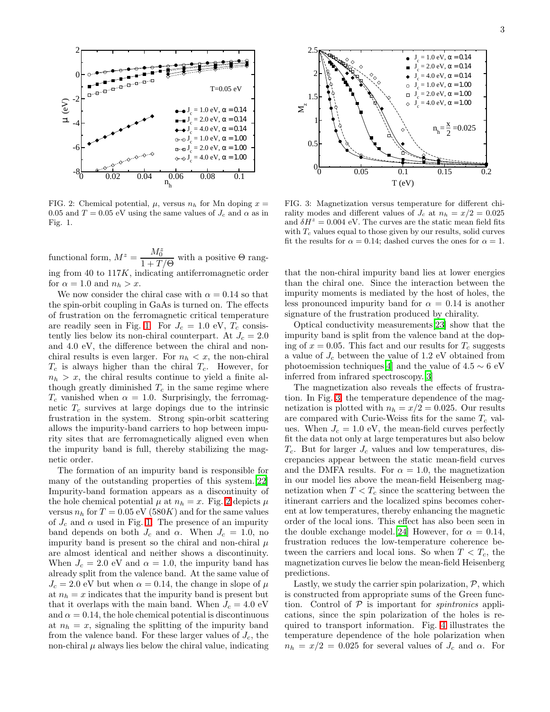3



<span id="page-3-0"></span>FIG. 2: Chemical potential,  $\mu$ , versus  $n_h$  for Mn doping  $x =$ 0.05 and  $T = 0.05$  eV using the same values of  $J_c$  and  $\alpha$  as in Fig. 1.

functional form,  $M^z = \frac{M_0^z}{1+T}$  $\frac{1}{1+T/\Theta}$  with a positive  $\Theta$  ranging from 40 to 117K, indicating antiferromagnetic order for  $\alpha = 1.0$  and  $n_h > x$ .

We now consider the chiral case with  $\alpha = 0.14$  so that the spin-orbit coupling in GaAs is turned on. The effects of frustration on the ferromagnetic critical temperature are readily seen in Fig. [1.](#page-2-0) For  $J_c = 1.0 \text{ eV}, T_c \text{ consist}$ tently lies below its non-chiral counterpart. At  $J_c = 2.0$ and 4.0 eV, the difference between the chiral and nonchiral results is even larger. For  $n_h < x$ , the non-chiral  $T_c$  is always higher than the chiral  $T_c$ . However, for  $n_h > x$ , the chiral results continue to yield a finite although greatly diminished  $T_c$  in the same regime where  $T_c$  vanished when  $\alpha = 1.0$ . Surprisingly, the ferromagnetic  $T_c$  survives at large dopings due to the intrinsic frustration in the system. Strong spin-orbit scattering allows the impurity-band carriers to hop between impurity sites that are ferromagnetically aligned even when the impurity band is full, thereby stabilizing the magnetic order.

The formation of an impurity band is responsible for many of the outstanding properties of this system.[\[22](#page-5-1)] Impurity-band formation appears as a discontinuity of the hole chemical potential  $\mu$  at  $n_h = x$ . Fig. [2](#page-3-0) depicts  $\mu$ versus  $n_h$  for  $T = 0.05$  eV (580K) and for the same values of  $J_c$  and  $\alpha$  used in Fig. [1.](#page-2-0) The presence of an impurity band depends on both  $J_c$  and  $\alpha$ . When  $J_c = 1.0$ , no impurity band is present so the chiral and non-chiral  $\mu$ are almost identical and neither shows a discontinuity. When  $J_c = 2.0$  eV and  $\alpha = 1.0$ , the impurity band has already split from the valence band. At the same value of  $J_c = 2.0$  eV but when  $\alpha = 0.14$ , the change in slope of  $\mu$ at  $n_h = x$  indicates that the impurity band is present but that it overlaps with the main band. When  $J_c = 4.0 \text{ eV}$ and  $\alpha = 0.14$ , the hole chemical potential is discontinuous at  $n_h = x$ , signaling the splitting of the impurity band from the valence band. For these larger values of  $J_c$ , the non-chiral  $\mu$  always lies below the chiral value, indicating



<span id="page-3-1"></span>FIG. 3: Magnetization versus temperature for different chirality modes and different values of  $J_c$  at  $n_h = x/2 = 0.025$ and  $\delta H^z = 0.004$  eV. The curves are the static mean field fits with  $T_c$  values equal to those given by our results, solid curves fit the results for  $\alpha = 0.14$ ; dashed curves the ones for  $\alpha = 1$ .

that the non-chiral impurity band lies at lower energies than the chiral one. Since the interaction between the impurity moments is mediated by the host of holes, the less pronounced impurity band for  $\alpha = 0.14$  is another signature of the frustration produced by chirality.

Optical conductivity measurements[\[23\]](#page-5-2) show that the impurity band is split from the valence band at the doping of  $x = 0.05$ . This fact and our results for  $T_c$  suggests a value of  $J_c$  between the value of 1.2 eV obtained from photoemission techniques[\[4](#page-4-3)] and the value of  $4.5 \sim 6$  eV inferred from infrared spectroscopy.[\[3\]](#page-4-2)

The magnetization also reveals the effects of frustration. In Fig. [3,](#page-3-1) the temperature dependence of the magnetization is plotted with  $n_h = x/2 = 0.025$ . Our results are compared with Curie-Weiss fits for the same  $T_c$  values. When  $J_c = 1.0 \text{ eV}$ , the mean-field curves perfectly fit the data not only at large temperatures but also below  $T_c$ . But for larger  $J_c$  values and low temperatures, discrepancies appear between the static mean-field curves and the DMFA results. For  $\alpha = 1.0$ , the magnetization in our model lies above the mean-field Heisenberg magnetization when  $T < T_c$  since the scattering between the itinerant carriers and the localized spins becomes coherent at low temperatures, thereby enhancing the magnetic order of the local ions. This effect has also been seen in the double exchange model.[\[24\]](#page-5-3) However, for  $\alpha = 0.14$ , frustration reduces the low-temperature coherence between the carriers and local ions. So when  $T < T_c$ , the magnetization curves lie below the mean-field Heisenberg predictions.

Lastly, we study the carrier spin polarization,  $P$ , which is constructed from appropriate sums of the Green function. Control of  $P$  is important for *spintronics* applications, since the spin polarization of the holes is required to transport information. Fig. [4](#page-4-20) illustrates the temperature dependence of the hole polarization when  $n_h = x/2 = 0.025$  for several values of  $J_c$  and  $\alpha$ . For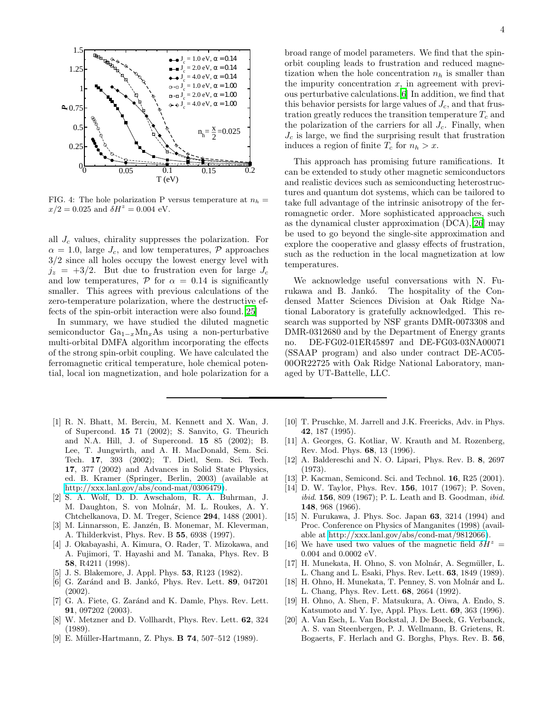

<span id="page-4-20"></span>FIG. 4: The hole polarization P versus temperature at  $n_h$  =  $x/2 = 0.025$  and  $\delta H^z = 0.004$  eV.

all  $J_c$  values, chirality suppresses the polarization. For  $\alpha = 1.0$ , large  $J_c$ , and low temperatures,  $\mathcal{P}$  approaches 3/2 since all holes occupy the lowest energy level with  $j_z = +3/2$ . But due to frustration even for large  $J_c$ and low temperatures,  $\mathcal P$  for  $\alpha = 0.14$  is significantly smaller. This agrees with previous calculations of the zero-temperature polarization, where the destructive effects of the spin-orbit interaction were also found.[\[25](#page-5-4)]

In summary, we have studied the diluted magnetic semiconductor  $Ga_{1-x}Mn_xAs$  using a non-perturbative multi-orbital DMFA algorithm incorporating the effects of the strong spin-orbit coupling. We have calculated the ferromagnetic critical temperature, hole chemical potential, local ion magnetization, and hole polarization for a

- <span id="page-4-0"></span>[1] R. N. Bhatt, M. Berciu, M. Kennett and X. Wan, J. of Supercond. 15 71 (2002); S. Sanvito, G. Theurich and N.A. Hill, J. of Supercond. 15 85 (2002); B. Lee, T. Jungwirth, and A. H. MacDonald, Sem. Sci. Tech. 17, 393 (2002); T. Dietl, Sem. Sci. Tech. 17, 377 (2002) and Advances in Solid State Physics, ed. B. Kramer (Springer, Berlin, 2003) (available at [http://xxx.lanl.gov/abs/cond-mat/0306479\)](http://xxx.lanl.gov/abs/cond-mat/0306479).
- <span id="page-4-1"></span>[2] S. A. Wolf, D. D. Awschalom, R. A. Buhrman, J. M. Daughton, S. von Molnár, M. L. Roukes, A. Y. Chtchelkanova, D. M. Treger, Science 294, 1488 (2001).
- <span id="page-4-2"></span>[3] M. Linnarsson, E. Janzén, B. Monemar, M. Kleverman, A. Thilderkvist, Phys. Rev. B 55, 6938 (1997).
- <span id="page-4-3"></span>[4] J. Okabayashi, A. Kimura, O. Rader, T. Mizokawa, and A. Fujimori, T. Hayashi and M. Tanaka, Phys. Rev. B 58, R4211 (1998).
- <span id="page-4-4"></span>[5] J. S. Blakemore, J. Appl. Phys. 53, R123 (1982).
- <span id="page-4-5"></span>[6] G. Zaránd and B. Jankó, Phys. Rev. Lett. 89, 047201 (2002).
- <span id="page-4-6"></span>[7] G. A. Fiete, G. Zaránd and K. Damle, Phys. Rev. Lett. 91, 097202 (2003).
- <span id="page-4-7"></span>[8] W. Metzner and D. Vollhardt, Phys. Rev. Lett. 62, 324 (1989).
- <span id="page-4-8"></span>[9] E. Müller-Hartmann, Z. Phys. **B 74**, 507-512 (1989).

broad range of model parameters. We find that the spinorbit coupling leads to frustration and reduced magnetization when the hole concentration  $n_h$  is smaller than the impurity concentration  $x$ , in agreement with previous perturbative calculations.[\[6](#page-4-5)] In addition, we find that this behavior persists for large values of  $J_c$ , and that frustration greatly reduces the transition temperature  $T_c$  and the polarization of the carriers for all  $J_c$ . Finally, when  $J_c$  is large, we find the surprising result that frustration induces a region of finite  $T_c$  for  $n_h > x$ .

This approach has promising future ramifications. It can be extended to study other magnetic semiconductors and realistic devices such as semiconducting heterostructures and quantum dot systems, which can be tailored to take full advantage of the intrinsic anisotropy of the ferromagnetic order. More sophisticated approaches, such as the dynamical cluster approximation (DCA),[\[26\]](#page-5-5) may be used to go beyond the single-site approximation and explore the cooperative and glassy effects of frustration, such as the reduction in the local magnetization at low temperatures.

We acknowledge useful conversations with N. Furukawa and B. Jankó. The hospitality of the Condensed Matter Sciences Division at Oak Ridge National Laboratory is gratefully acknowledged. This research was supported by NSF grants DMR-0073308 and DMR-0312680 and by the Department of Energy grants no. DE-FG02-01ER45897 and DE-FG03-03NA00071 (SSAAP program) and also under contract DE-AC05- 00OR22725 with Oak Ridge National Laboratory, managed by UT-Battelle, LLC.

- <span id="page-4-9"></span>[10] T. Pruschke, M. Jarrell and J.K. Freericks, Adv. in Phys. 42, 187 (1995).
- <span id="page-4-10"></span>[11] A. Georges, G. Kotliar, W. Krauth and M. Rozenberg, Rev. Mod. Phys. 68, 13 (1996).
- <span id="page-4-11"></span>[12] A. Baldereschi and N. O. Lipari, Phys. Rev. B. 8, 2697 (1973).
- <span id="page-4-12"></span>[13] P. Kacman, Semicond. Sci. and Technol. **16**, R25 (2001).
- <span id="page-4-13"></span>[14] D. W. Taylor, Phys. Rev. 156, 1017 (1967); P. Soven, ibid. 156, 809 (1967); P. L. Leath and B. Goodman, ibid. 148, 968 (1966).
- <span id="page-4-14"></span>[15] N. Furukawa, J. Phys. Soc. Japan 63, 3214 (1994) and Proc. Conference on Physics of Manganites (1998) (available at [http://xxx.lanl.gov/abs/cond-mat/9812066\)](http://xxx.lanl.gov/abs/cond-mat/9812066).
- <span id="page-4-15"></span>[16] We have used two values of the magnetic field  $\delta H^z =$ 0.004 and 0.0002 eV.
- <span id="page-4-16"></span>[17] H. Munekata, H. Ohno, S. von Molnár, A. Segmüller, L. L. Chang and L. Esaki, Phys. Rev. Lett. 63, 1849 (1989).
- <span id="page-4-17"></span>[18] H. Ohno, H. Munekata, T. Penney, S. von Molnár and L. L. Chang, Phys. Rev. Lett. 68, 2664 (1992).
- <span id="page-4-18"></span>[19] H. Ohno, A. Shen, F. Matsukura, A. Oiwa, A. Endo, S. Katsumoto and Y. Iye, Appl. Phys. Lett. 69, 363 (1996).
- <span id="page-4-19"></span>[20] A. Van Esch, L. Van Bockstal, J. De Boeck, G. Verbanck, A. S. van Steenbergen, P. J. Wellmann, B. Grietens, R. Bogaerts, F. Herlach and G. Borghs, Phys. Rev. B. 56,